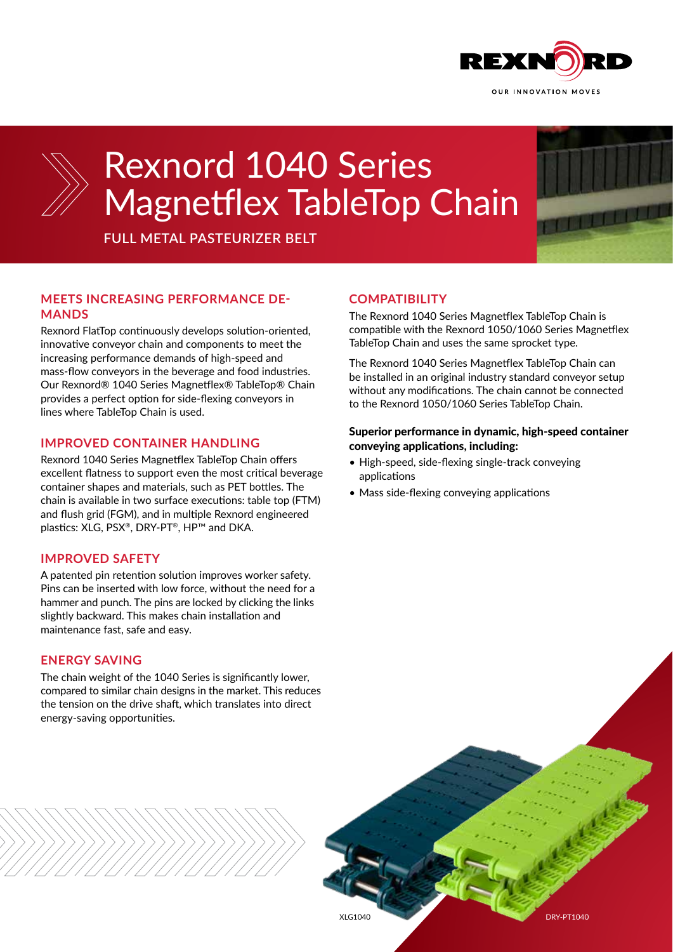



# Rexnord 1040 Series Magnetflex TableTop Chain

**FULL METAL PASTEURIZER BELT**

# **MEETS INCREASING PERFORMANCE DE-MANDS**

Rexnord FlatTop continuously develops solution-oriented, innovative conveyor chain and components to meet the increasing performance demands of high-speed and mass-flow conveyors in the beverage and food industries. Our Rexnord® 1040 Series Magnetflex® TableTop® Chain provides a perfect option for side-flexing conveyors in lines where TableTop Chain is used.

# **IMPROVED CONTAINER HANDLING**

Rexnord 1040 Series Magnetflex TableTop Chain offers excellent flatness to support even the most critical beverage container shapes and materials, such as PET bottles. The chain is available in two surface executions: table top (FTM) and flush grid (FGM), and in multiple Rexnord engineered plastics: XLG, PSX®, DRY-PT®, HP™ and DKA.

# **IMPROVED SAFETY**

A patented pin retention solution improves worker safety. Pins can be inserted with low force, without the need for a hammer and punch. The pins are locked by clicking the links slightly backward. This makes chain installation and maintenance fast, safe and easy.

## **ENERGY SAVING**

The chain weight of the 1040 Series is significantly lower, compared to similar chain designs in the market. This reduces the tension on the drive shaft, which translates into direct energy-saving opportunities.

## **COMPATIBILITY**

The Rexnord 1040 Series Magnetflex TableTop Chain is compatible with the Rexnord 1050/1060 Series Magnetflex TableTop Chain and uses the same sprocket type.

The Rexnord 1040 Series Magnetflex TableTop Chain can be installed in an original industry standard conveyor setup without any modifications. The chain cannot be connected to the Rexnord 1050/1060 Series TableTop Chain.

### Superior performance in dynamic, high-speed container conveying applications, including:

- High-speed, side-flexing single-track conveying applications
- Mass side-flexing conveying applications